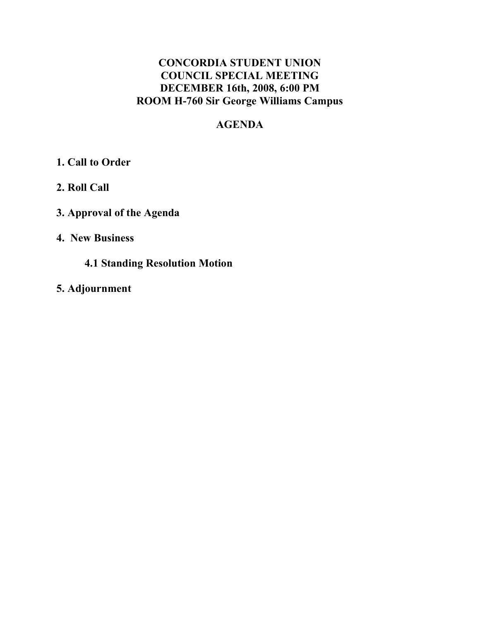# **CONCORDIA STUDENT UNION COUNCIL SPECIAL MEETING DECEMBER 16th, 2008, 6:00 PM ROOM H-760 Sir George Williams Campus**

# **AGENDA**

# **1. Call to Order**

- **2. Roll Call**
- **3. Approval of the Agenda**

### **4. New Business**

### **4.1 Standing Resolution Motion**

**5. Adjournment**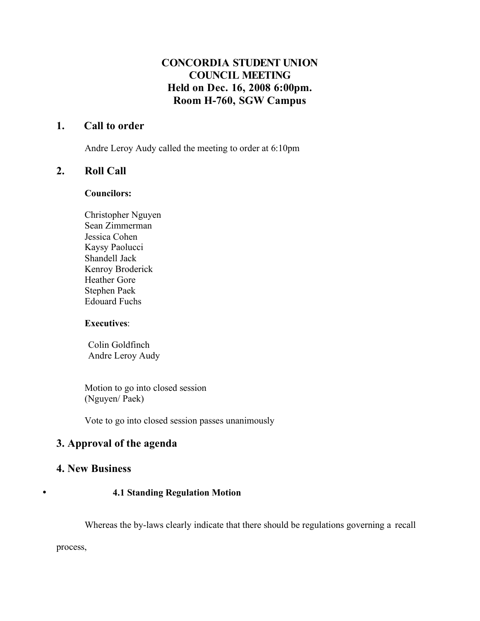### **CONCORDIA STUDENT UNION COUNCIL MEETING Held on Dec. 16, 2008 6:00pm. Room H-760, SGW Campus**

### **1. Call to order**

Andre Leroy Audy called the meeting to order at 6:10pm

#### **2. Roll Call**

#### **Councilors:**

Christopher Nguyen Sean Zimmerman Jessica Cohen Kaysy Paolucci Shandell Jack Kenroy Broderick Heather Gore Stephen Paek Edouard Fuchs

#### **Executives**:

Colin Goldfinch Andre Leroy Audy

Motion to go into closed session (Nguyen/ Paek)

Vote to go into closed session passes unanimously

### **3. Approval of the agenda**

#### **4. New Business**

#### • **4.1 Standing Regulation Motion**

Whereas the by-laws clearly indicate that there should be regulations governing a recall

process,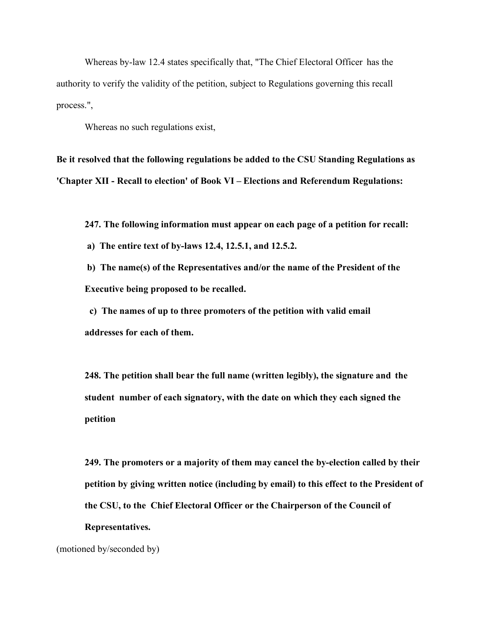Whereas by-law 12.4 states specifically that, "The Chief Electoral Officer has the authority to verify the validity of the petition, subject to Regulations governing this recall process.",

Whereas no such regulations exist,

**Be it resolved that the following regulations be added to the CSU Standing Regulations as 'Chapter XII - Recall to election' of Book VI – Elections and Referendum Regulations:**

**247. The following information must appear on each page of a petition for recall:**

**a) The entire text of by-laws 12.4, 12.5.1, and 12.5.2.**

**b) The name(s) of the Representatives and/or the name of the President of the Executive being proposed to be recalled.**

**c) The names of up to three promoters of the petition with valid email addresses for each of them.**

**248. The petition shall bear the full name (written legibly), the signature and the student number of each signatory, with the date on which they each signed the petition**

**249. The promoters or a majority of them may cancel the by-election called by their petition by giving written notice (including by email) to this effect to the President of the CSU, to the Chief Electoral Officer or the Chairperson of the Council of Representatives.**

(motioned by/seconded by)